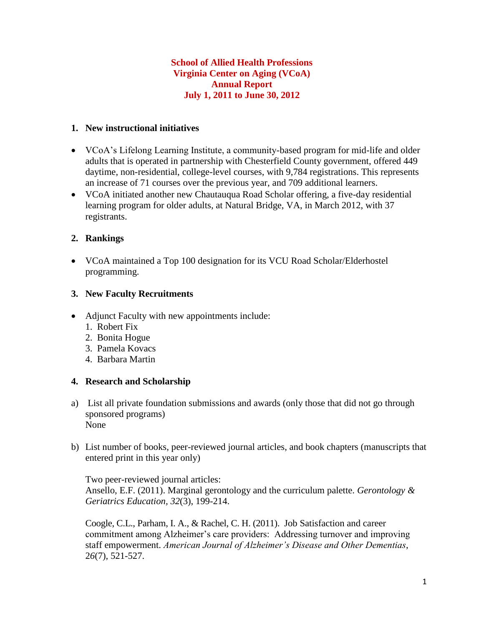## **School of Allied Health Professions Virginia Center on Aging (VCoA) Annual Report July 1, 2011 to June 30, 2012**

#### **1. New instructional initiatives**

- VCoA's Lifelong Learning Institute, a community-based program for mid-life and older adults that is operated in partnership with Chesterfield County government, offered 449 daytime, non-residential, college-level courses, with 9,784 registrations. This represents an increase of 71 courses over the previous year, and 709 additional learners.
- VCoA initiated another new Chautauqua Road Scholar offering, a five-day residential learning program for older adults, at Natural Bridge, VA, in March 2012, with 37 registrants.

#### **2. Rankings**

 VCoA maintained a Top 100 designation for its VCU Road Scholar/Elderhostel programming.

#### **3. New Faculty Recruitments**

- Adjunct Faculty with new appointments include:
	- 1. Robert Fix
	- 2. Bonita Hogue
	- 3. Pamela Kovacs
	- 4. Barbara Martin

## **4. Research and Scholarship**

- a) List all private foundation submissions and awards (only those that did not go through sponsored programs) None
- b) List number of books, peer-reviewed journal articles, and book chapters (manuscripts that entered print in this year only)

Two peer-reviewed journal articles: Ansello, E.F. (2011). Marginal gerontology and the curriculum palette. *Gerontology & Geriatrics Education, 32*(3), 199-214.

Coogle, C.L., Parham, I. A., & Rachel, C. H. (2011). Job Satisfaction and career commitment among Alzheimer's care providers: Addressing turnover and improving staff empowerment. *American Journal of Alzheimer's Disease and Other Dementias*, 2*6*(7), 521-527.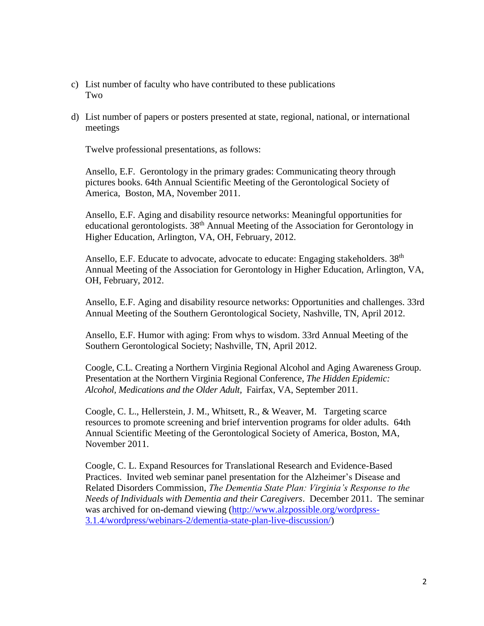- c) List number of faculty who have contributed to these publications Two
- d) List number of papers or posters presented at state, regional, national, or international meetings

Twelve professional presentations, as follows:

Ansello, E.F. Gerontology in the primary grades: Communicating theory through pictures books. 64th Annual Scientific Meeting of the Gerontological Society of America, Boston, MA, November 2011.

Ansello, E.F. Aging and disability resource networks: Meaningful opportunities for educational gerontologists. 38<sup>th</sup> Annual Meeting of the Association for Gerontology in Higher Education, Arlington, VA, OH, February, 2012.

Ansello, E.F. Educate to advocate, advocate to educate: Engaging stakeholders. 38<sup>th</sup> Annual Meeting of the Association for Gerontology in Higher Education, Arlington, VA, OH, February, 2012.

Ansello, E.F. Aging and disability resource networks: Opportunities and challenges. 33rd Annual Meeting of the Southern Gerontological Society, Nashville, TN, April 2012.

Ansello, E.F. Humor with aging: From whys to wisdom. 33rd Annual Meeting of the Southern Gerontological Society; Nashville, TN, April 2012.

Coogle, C.L. Creating a Northern Virginia Regional Alcohol and Aging Awareness Group. Presentation at the Northern Virginia Regional Conference, *The Hidden Epidemic: Alcohol, Medications and the Older Adult,* Fairfax, VA, September 2011.

Coogle, C. L., Hellerstein, J. M., Whitsett, R., & Weaver, M. Targeting scarce resources to promote screening and brief intervention programs for older adults. 64th Annual Scientific Meeting of the Gerontological Society of America, Boston, MA, November 2011.

Coogle, C. L. Expand Resources for Translational Research and Evidence-Based Practices. Invited web seminar panel presentation for the Alzheimer's Disease and Related Disorders Commission, *The Dementia State Plan: Virginia's Response to the Needs of Individuals with Dementia and their Caregivers*. December 2011. The seminar was archived for on-demand viewing [\(http://www.alzpossible.org/wordpress-](http://www.alzpossible.org/wordpress-3.1.4/wordpress/webinars-2/dementia-state-plan-live-discussion/)[3.1.4/wordpress/webinars-2/dementia-state-plan-live-discussion/\)](http://www.alzpossible.org/wordpress-3.1.4/wordpress/webinars-2/dementia-state-plan-live-discussion/)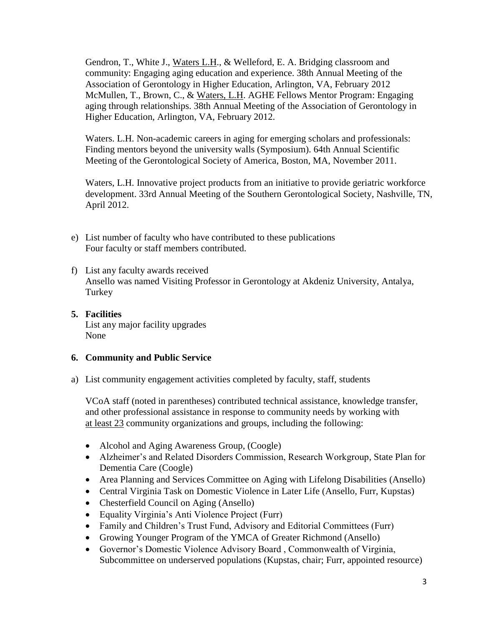Gendron, T., White J., Waters L.H., & Welleford, E. A. Bridging classroom and community: Engaging aging education and experience. 38th Annual Meeting of the Association of Gerontology in Higher Education, Arlington, VA, February 2012 McMullen, T., Brown, C., & Waters, L.H. AGHE Fellows Mentor Program: Engaging aging through relationships. 38th Annual Meeting of the Association of Gerontology in Higher Education, Arlington, VA, February 2012.

Waters. L.H. Non-academic careers in aging for emerging scholars and professionals: Finding mentors beyond the university walls (Symposium). 64th Annual Scientific Meeting of the Gerontological Society of America, Boston, MA, November 2011.

Waters, L.H. Innovative project products from an initiative to provide geriatric workforce development. 33rd Annual Meeting of the Southern Gerontological Society, Nashville, TN, April 2012.

- e) List number of faculty who have contributed to these publications Four faculty or staff members contributed.
- f) List any faculty awards received Ansello was named Visiting Professor in Gerontology at Akdeniz University, Antalya, Turkey
- **5. Facilities** List any major facility upgrades None

## **6. Community and Public Service**

a) List community engagement activities completed by faculty, staff, students

VCoA staff (noted in parentheses) contributed technical assistance, knowledge transfer, and other professional assistance in response to community needs by working with at least 23 community organizations and groups, including the following:

- Alcohol and Aging Awareness Group, (Coogle)
- Alzheimer's and Related Disorders Commission, Research Workgroup, State Plan for Dementia Care (Coogle)
- Area Planning and Services Committee on Aging with Lifelong Disabilities (Ansello)
- Central Virginia Task on Domestic Violence in Later Life (Ansello, Furr, Kupstas)
- Chesterfield Council on Aging (Ansello)
- Equality Virginia's Anti Violence Project (Furr)
- Family and Children's Trust Fund, Advisory and Editorial Committees (Furr)
- Growing Younger Program of the YMCA of Greater Richmond (Ansello)
- Governor's Domestic Violence Advisory Board , Commonwealth of Virginia, Subcommittee on underserved populations (Kupstas, chair; Furr, appointed resource)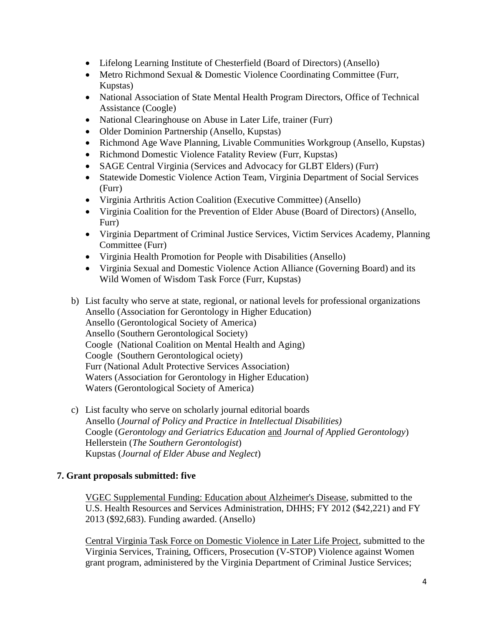- Lifelong Learning Institute of Chesterfield (Board of Directors) (Ansello)
- Metro Richmond Sexual & Domestic Violence Coordinating Committee (Furr, Kupstas)
- National Association of State Mental Health Program Directors, Office of Technical Assistance (Coogle)
- National Clearinghouse on Abuse in Later Life, trainer (Furr)
- Older Dominion Partnership (Ansello, Kupstas)
- Richmond Age Wave Planning, Livable Communities Workgroup (Ansello, Kupstas)
- Richmond Domestic Violence Fatality Review (Furr, Kupstas)
- SAGE Central Virginia (Services and Advocacy for GLBT Elders) (Furr)
- Statewide Domestic Violence Action Team, Virginia Department of Social Services (Furr)
- Virginia Arthritis Action Coalition (Executive Committee) (Ansello)
- Virginia Coalition for the Prevention of Elder Abuse (Board of Directors) (Ansello, Furr)
- Virginia Department of Criminal Justice Services, Victim Services Academy, Planning Committee (Furr)
- Virginia Health Promotion for People with Disabilities (Ansello)
- Virginia Sexual and Domestic Violence Action Alliance (Governing Board) and its Wild Women of Wisdom Task Force (Furr, Kupstas)
- b) List faculty who serve at state, regional, or national levels for professional organizations Ansello (Association for Gerontology in Higher Education) Ansello (Gerontological Society of America) Ansello (Southern Gerontological Society) Coogle (National Coalition on Mental Health and Aging) Coogle (Southern Gerontological ociety) Furr (National Adult Protective Services Association) Waters (Association for Gerontology in Higher Education) Waters (Gerontological Society of America)
- c) List faculty who serve on scholarly journal editorial boards Ansello (*Journal of Policy and Practice in Intellectual Disabilities)* Coogle (*Gerontology and Geriatrics Education* and *Journal of Applied Gerontology*) Hellerstein (*The Southern Gerontologist*) Kupstas (*Journal of Elder Abuse and Neglect*)

# **7. Grant proposals submitted: five**

VGEC Supplemental Funding: Education about Alzheimer's Disease, submitted to the U.S. Health Resources and Services Administration, DHHS; FY 2012 (\$42,221) and FY 2013 (\$92,683). Funding awarded. (Ansello)

Central Virginia Task Force on Domestic Violence in Later Life Project, submitted to the Virginia Services, Training, Officers, Prosecution (V-STOP) Violence against Women grant program, administered by the Virginia Department of Criminal Justice Services;